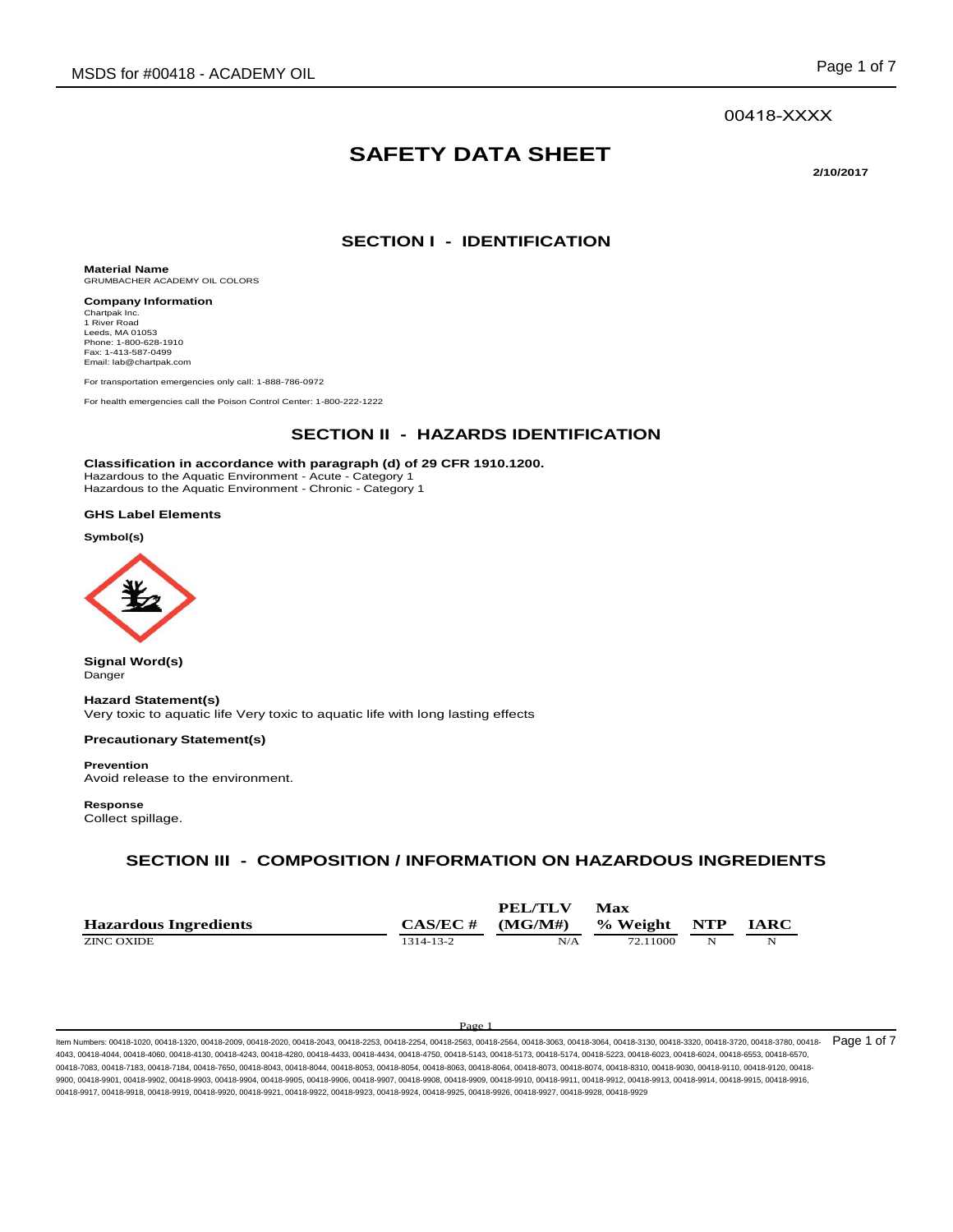#### 00418-XXXX

# **SAFETY DATA SHEET**

**2/10/2017** 

#### **SECTION I - IDENTIFICATION**

**Material Name** GRUMBACHER ACADEMY OIL COLORS

**Company Information** Chartpak Inc. 1 River Road Leeds, MA 01053 Phone: 1-800-628-1910 Fax: 1-413-587-0499 Email: lab@chartpak.com

For transportation emergencies only call: 1-888-786-0972

For health emergencies call the Poison Control Center: 1-800-222-1222

#### **SECTION II - HAZARDS IDENTIFICATION**

**Classification in accordance with paragraph (d) of 29 CFR 1910.1200.**

Hazardous to the Aquatic Environment - Acute - Category 1 Hazardous to the Aquatic Environment - Chronic - Category 1

#### **GHS Label Elements**

**Symbol(s)**



**Signal Word(s)** Danger

**Hazard Statement(s)**

Very toxic to aquatic life Very toxic to aquatic life with long lasting effects

#### **Precautionary Statement(s)**

**Prevention** Avoid release to the environment.

**Response** Collect spillage.

#### **SECTION III - COMPOSITION / INFORMATION ON HAZARDOUS INGREDIENTS**

|                              |           | <b>PEL/TLV</b> | Max          |   |             |
|------------------------------|-----------|----------------|--------------|---|-------------|
| <b>Hazardous Ingredients</b> | CAS/EC #  | (MG/M#)        | % Weight NTP |   | <b>IARC</b> |
| ZINC OXIDE                   | 1314-13-2 | N/A            | 72.11000     | N | N           |

#### Page

ltem Numbers: 00418-1020, 00418-1320, 00418-2009, 00418-2020, 00418-2043, 00418-2253, 00418-2563, 00418-2563, 00418-308, 00418-308, 00418-304, 00418-3130, 00418-3320, 00418-3720, 00418-3780, 00418-  $\textsf{Page 1 of 7}$ 4043, 00418-4044, 00418-4060, 00418-4130, 00418-4243, 00418-4280, 00418-4433, 00418-4434, 00418-4750, 00418-5143, 00418-5173, 00418-5174, 00418-5223, 00418-6023, 00418-6024, 00418-6553, 00418-6570, 00418-7083, 00418-7183, 00418-7184, 00418-7650, 00418-8043, 00418-8043, 00418-8054, 00418-8063, 00418-8064, 00418-8073, 00418-8074, 00418-8310, 00418-9300, 00418-9110, 00418-9120, 00418-8074, 9900, 00418-9901, 00418-9902, 00418-9903, 00418-9904, 00418-9905, 00418-9906, 00418-9907, 00418-9908, 00418-9909, 00418-9910, 00418-9911, 00418-9912, 00418-9913, 00418-9914, 00418-9915, 00418-9916, 00418-9917, 00418-9918, 00418-9919, 00418-9920, 00418-9921, 00418-9922, 00418-9923, 00418-9924, 00418-9925, 00418-9926, 00418-9927, 00418-9928, 00418-9929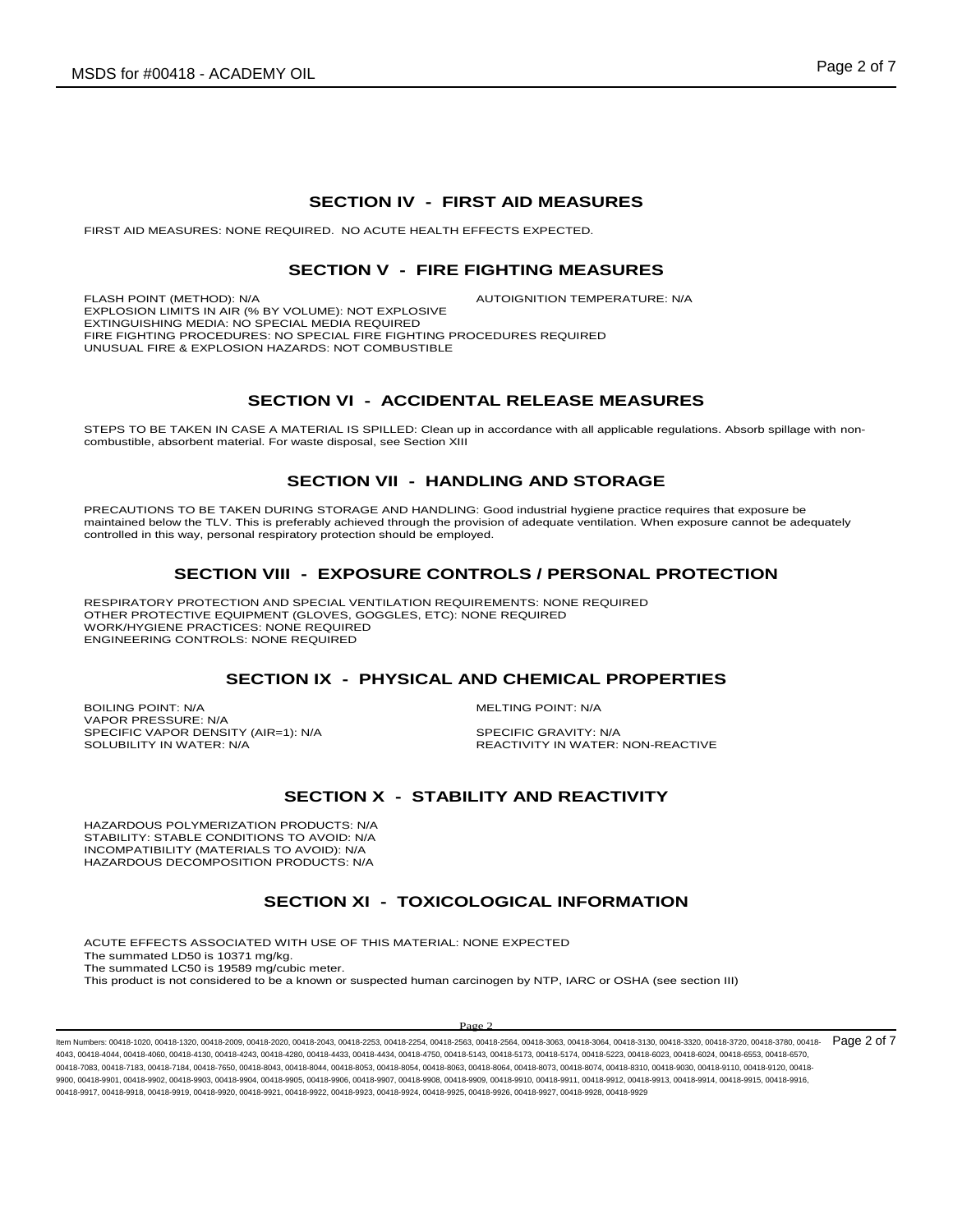#### **SECTION IV - FIRST AID MEASURES**

FIRST AID MEASURES: NONE REQUIRED. NO ACUTE HEALTH EFFECTS EXPECTED.

#### **SECTION V - FIRE FIGHTING MEASURES**

FLASH POINT (METHOD): N/A **AUTOIGNITION TEMPERATURE: N/A** EXPLOSION LIMITS IN AIR (% BY VOLUME): NOT EXPLOSIVE EXTINGUISHING MEDIA: NO SPECIAL MEDIA REQUIRED FIRE FIGHTING PROCEDURES: NO SPECIAL FIRE FIGHTING PROCEDURES REQUIRED UNUSUAL FIRE & EXPLOSION HAZARDS: NOT COMBUSTIBLE

#### **SECTION VI - ACCIDENTAL RELEASE MEASURES**

STEPS TO BE TAKEN IN CASE A MATERIAL IS SPILLED: Clean up in accordance with all applicable regulations. Absorb spillage with noncombustible, absorbent material. For waste disposal, see Section XIII

### **SECTION VII - HANDLING AND STORAGE**

PRECAUTIONS TO BE TAKEN DURING STORAGE AND HANDLING: Good industrial hygiene practice requires that exposure be maintained below the TLV. This is preferably achieved through the provision of adequate ventilation. When exposure cannot be adequately controlled in this way, personal respiratory protection should be employed.

# **SECTION VIII - EXPOSURE CONTROLS / PERSONAL PROTECTION**

RESPIRATORY PROTECTION AND SPECIAL VENTILATION REQUIREMENTS: NONE REQUIRED OTHER PROTECTIVE EQUIPMENT (GLOVES, GOGGLES, ETC): NONE REQUIRED WORK/HYGIENE PRACTICES: NONE REQUIRED ENGINEERING CONTROLS: NONE REQUIRED

#### **SECTION IX - PHYSICAL AND CHEMICAL PROPERTIES**

BOILING POINT: N/A MELTING POINT: N/A VAPOR PRESSURE: N/A SPECIFIC VAPOR DENSITY (AIR=1): N/A SPECIFIC GRAVITY: N/A<br>SOLUBILITY IN WATER: N/A SOLUBILITY IN WATER:

REACTIVITY IN WATER: NON-REACTIVE

#### **SECTION X - STABILITY AND REACTIVITY**

HAZARDOUS POLYMERIZATION PRODUCTS: N/A STABILITY: STABLE CONDITIONS TO AVOID: N/A INCOMPATIBILITY (MATERIALS TO AVOID): N/A HAZARDOUS DECOMPOSITION PRODUCTS: N/A

### **SECTION XI - TOXICOLOGICAL INFORMATION**

ACUTE EFFECTS ASSOCIATED WITH USE OF THIS MATERIAL: NONE EXPECTED The summated LD50 is 10371 mg/kg. The summated LC50 is 19589 mg/cubic meter. This product is not considered to be a known or suspected human carcinogen by NTP, IARC or OSHA (see section III)

#### Page 2

ltem Numbers: 00418-1020, 00418-1320, 00418-2009, 00418-2020, 00418-2043, 00418-2253, 00418-2563, 00418-2563, 00418-308, 00418-308, 00418-304, 00418-3130, 00418-3320, 00418-3720, 00418-3780, 00418- Page 2 of 7 4043, 00418-4044, 00418-4060, 00418-4130, 00418-4243, 00418-4280, 00418-4433, 00418-4434, 00418-4750, 00418-5143, 00418-5173, 00418-5174, 00418-5223, 00418-6023, 00418-6024, 00418-6553, 00418-6570, 00418-7083, 00418-7183, 00418-7184, 00418-7650, 00418-8043, 00418-8043, 00418-8054, 00418-8063, 00418-8064, 00418-8073, 00418-8074, 00418-8310, 00418-9300, 00418-9110, 00418-9120, 00418-8074, 9900, 00418-9901, 00418-9902, 00418-9903, 00418-9904, 00418-9905, 00418-9906, 00418-9907, 00418-9908, 00418-9909, 00418-9910, 00418-9911, 00418-9912, 00418-9913, 00418-9914, 00418-9915, 00418-9916, 00418-9917, 00418-9918, 00418-9919, 00418-9920, 00418-9921, 00418-9922, 00418-9923, 00418-9924, 00418-9925, 00418-9926, 00418-9927, 00418-9928, 00418-9929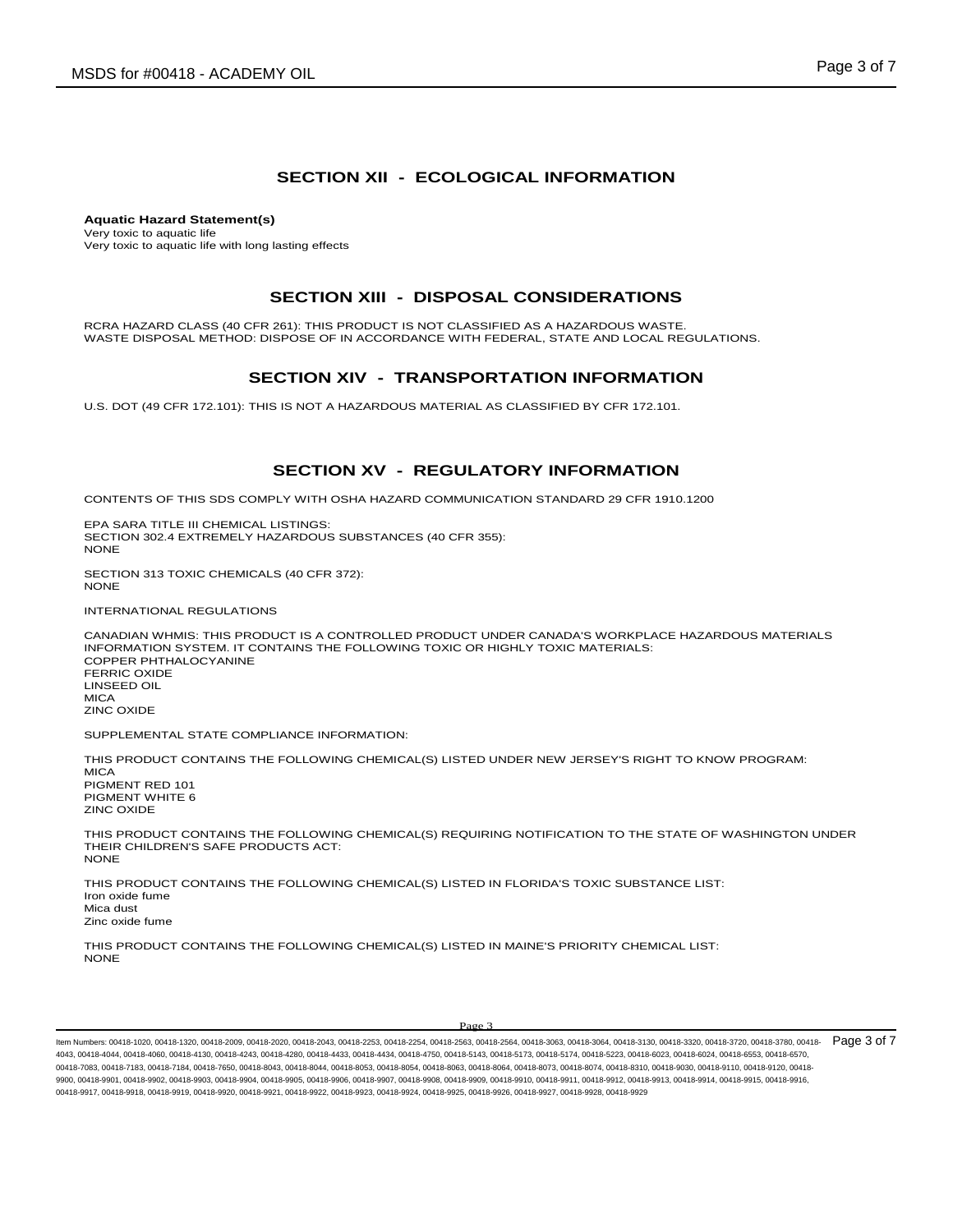## **SECTION XII - ECOLOGICAL INFORMATION**

**Aquatic Hazard Statement(s)** Very toxic to aquatic life Very toxic to aquatic life with long lasting effects

#### **SECTION XIII - DISPOSAL CONSIDERATIONS**

RCRA HAZARD CLASS (40 CFR 261): THIS PRODUCT IS NOT CLASSIFIED AS A HAZARDOUS WASTE. WASTE DISPOSAL METHOD: DISPOSE OF IN ACCORDANCE WITH FEDERAL, STATE AND LOCAL REGULATIONS.

#### **SECTION XIV - TRANSPORTATION INFORMATION**

U.S. DOT (49 CFR 172.101): THIS IS NOT A HAZARDOUS MATERIAL AS CLASSIFIED BY CFR 172.101.

#### **SECTION XV - REGULATORY INFORMATION**

CONTENTS OF THIS SDS COMPLY WITH OSHA HAZARD COMMUNICATION STANDARD 29 CFR 1910.1200

EPA SARA TITLE III CHEMICAL LISTINGS: SECTION 302.4 EXTREMELY HAZARDOUS SUBSTANCES (40 CFR 355): NONE

SECTION 313 TOXIC CHEMICALS (40 CFR 372): NONE

INTERNATIONAL REGULATIONS

CANADIAN WHMIS: THIS PRODUCT IS A CONTROLLED PRODUCT UNDER CANADA'S WORKPLACE HAZARDOUS MATERIALS INFORMATION SYSTEM. IT CONTAINS THE FOLLOWING TOXIC OR HIGHLY TOXIC MATERIALS: COPPER PHTHALOCYANINE FERRIC OXIDE LINSEED OIL **MICA** ZINC OXIDE

SUPPLEMENTAL STATE COMPLIANCE INFORMATION:

THIS PRODUCT CONTAINS THE FOLLOWING CHEMICAL(S) LISTED UNDER NEW JERSEY'S RIGHT TO KNOW PROGRAM:

**MICA** PIGMENT RED 101 PIGMENT WHITE 6 ZINC OXIDE

THIS PRODUCT CONTAINS THE FOLLOWING CHEMICAL(S) REQUIRING NOTIFICATION TO THE STATE OF WASHINGTON UNDER THEIR CHILDREN'S SAFE PRODUCTS ACT: NONE

THIS PRODUCT CONTAINS THE FOLLOWING CHEMICAL(S) LISTED IN FLORIDA'S TOXIC SUBSTANCE LIST: Iron oxide fume Mica dust Zinc oxide fume

THIS PRODUCT CONTAINS THE FOLLOWING CHEMICAL(S) LISTED IN MAINE'S PRIORITY CHEMICAL LIST: NONE

#### Page 3

ltem Numbers: 00418-1020, 00418-1320, 00418-2009, 00418-2020, 00418-2043, 00418-2253, 00418-2563, 00418-2563, 00418-308, 00418-308, 00418-304, 00418-3130, 00418-3320, 00418-3720, 00418-3780, 00418- Page 3 of 7 4043, 00418-4044, 00418-4060, 00418-4130, 00418-4243, 00418-4280, 00418-4433, 00418-4434, 00418-4750, 00418-5143, 00418-5173, 00418-5174, 00418-5223, 00418-6023, 00418-6024, 00418-6553, 00418-6570, 00418-7083, 00418-7183, 00418-7184, 00418-7650, 00418-8043, 00418-8043, 00418-8054, 00418-8063, 00418-8064, 00418-8073, 00418-8074, 00418-8310, 00418-9300, 00418-9110, 00418-9120, 00418-8074, 9900, 00418-9901, 00418-9902, 00418-9903, 00418-9904, 00418-9905, 00418-9906, 00418-9907, 00418-9908, 00418-9909, 00418-9910, 00418-9911, 00418-9912, 00418-9913, 00418-9914, 00418-9915, 00418-9916, 00418-9917, 00418-9918, 00418-9919, 00418-9920, 00418-9921, 00418-9922, 00418-9923, 00418-9924, 00418-9925, 00418-9926, 00418-9927, 00418-9928, 00418-9929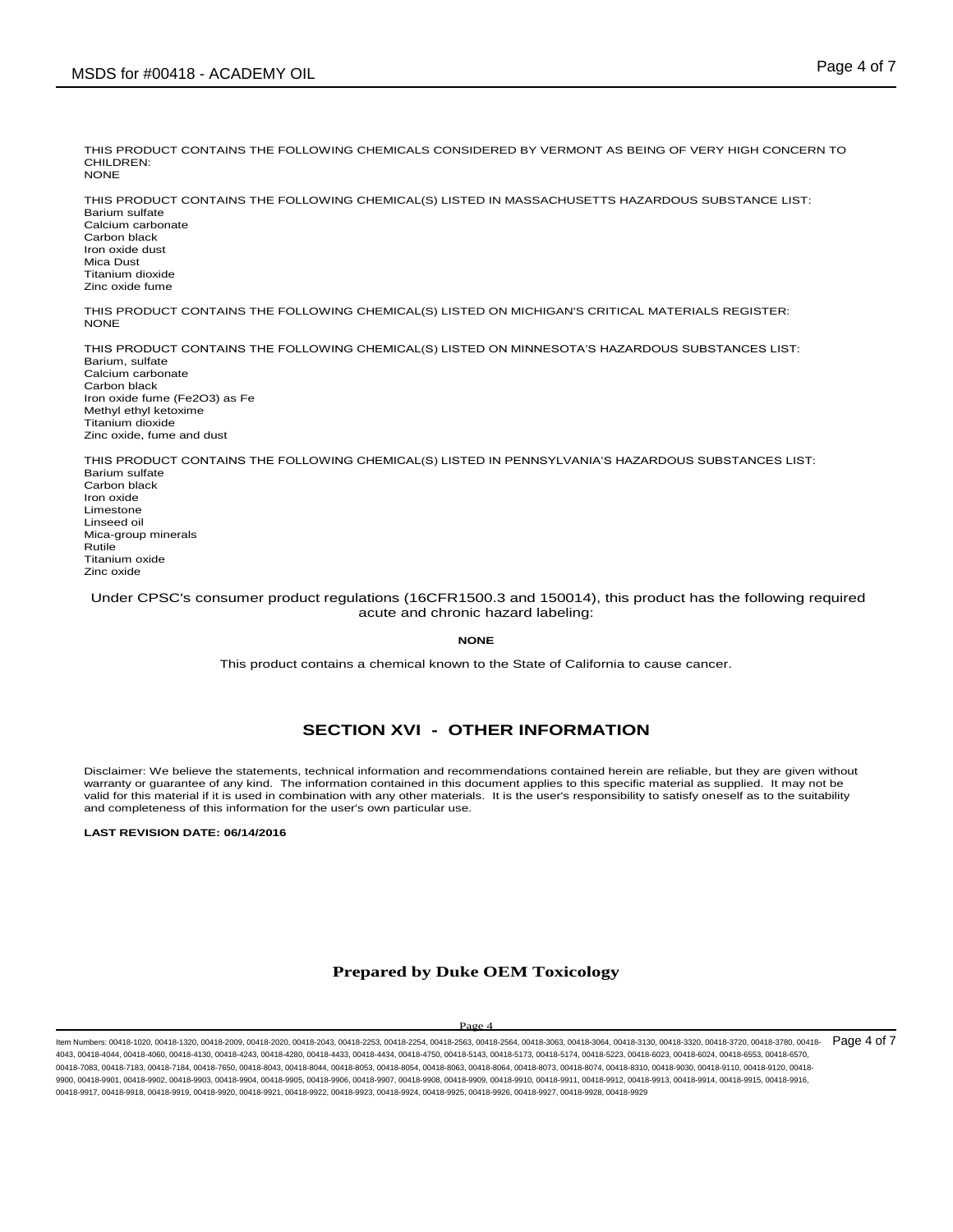THIS PRODUCT CONTAINS THE FOLLOWING CHEMICALS CONSIDERED BY VERMONT AS BEING OF VERY HIGH CONCERN TO CHILDREN: **NONE** 

THIS PRODUCT CONTAINS THE FOLLOWING CHEMICAL(S) LISTED IN MASSACHUSETTS HAZARDOUS SUBSTANCE LIST: Barium sulfate Calcium carbonate Carbon black Iron oxide dust Mica Dust Titanium dioxide Zinc oxide fume

THIS PRODUCT CONTAINS THE FOLLOWING CHEMICAL(S) LISTED ON MICHIGAN'S CRITICAL MATERIALS REGISTER: NONE

THIS PRODUCT CONTAINS THE FOLLOWING CHEMICAL(S) LISTED ON MINNESOTA'S HAZARDOUS SUBSTANCES LIST: Barium, sulfate Calcium carbonate Carbon black Iron oxide fume (Fe2O3) as Fe Methyl ethyl ketoxime Titanium dioxide Zinc oxide, fume and dust

THIS PRODUCT CONTAINS THE FOLLOWING CHEMICAL(S) LISTED IN PENNSYLVANIA'S HAZARDOUS SUBSTANCES LIST: Barium sulfate Carbon black Iron oxide Limestone Linseed oil Mica-group minerals Rutile Titanium oxide Zinc oxide

Under CPSC's consumer product regulations (16CFR1500.3 and 150014), this product has the following required acute and chronic hazard labeling:

**NONE**

This product contains a chemical known to the State of California to cause cancer.

### **SECTION XVI - OTHER INFORMATION**

Disclaimer: We believe the statements, technical information and recommendations contained herein are reliable, but they are given without warranty or guarantee of any kind. The information contained in this document applies to this specific material as supplied. It may not be valid for this material if it is used in combination with any other materials. It is the user's responsibility to satisfy oneself as to the suitability and completeness of this information for the user's own particular use.

**LAST REVISION DATE: 06/14/2016**

### **Prepared by Duke OEM Toxicology**

#### Page 4

ltem Numbers: 00418-1020, 00418-1320, 00418-2009, 00418-2020, 00418-2043, 00418-2253, 00418-2554, 00418-2563, 00418-308, 00418-308, 00418-304, 00418-3130, 00418-3320, 00418-3720, 00418-3780, 00418- Page 4 of 7 4043, 00418-4044, 00418-4060, 00418-4130, 00418-4243, 00418-4280, 00418-4433, 00418-4434, 00418-4750, 00418-5143, 00418-5173, 00418-5174, 00418-5223, 00418-6023, 00418-6024, 00418-6553, 00418-6570, 00418-7083, 00418-7183, 00418-7184, 00418-7650, 00418-8043, 00418-8043, 00418-8054, 00418-8063, 00418-8064, 00418-8073, 00418-8074, 00418-8310, 00418-9300, 00418-9110, 00418-9120, 00418-8074, 9900, 00418-9901, 00418-9902, 00418-9903, 00418-9904, 00418-9905, 00418-9906, 00418-9907, 00418-9908, 00418-9909, 00418-9910, 00418-9911, 00418-9912, 00418-9913, 00418-9914, 00418-9915, 00418-9916, 00418-9917, 00418-9918, 00418-9919, 00418-9920, 00418-9921, 00418-9922, 00418-9923, 00418-9924, 00418-9925, 00418-9926, 00418-9927, 00418-9928, 00418-9929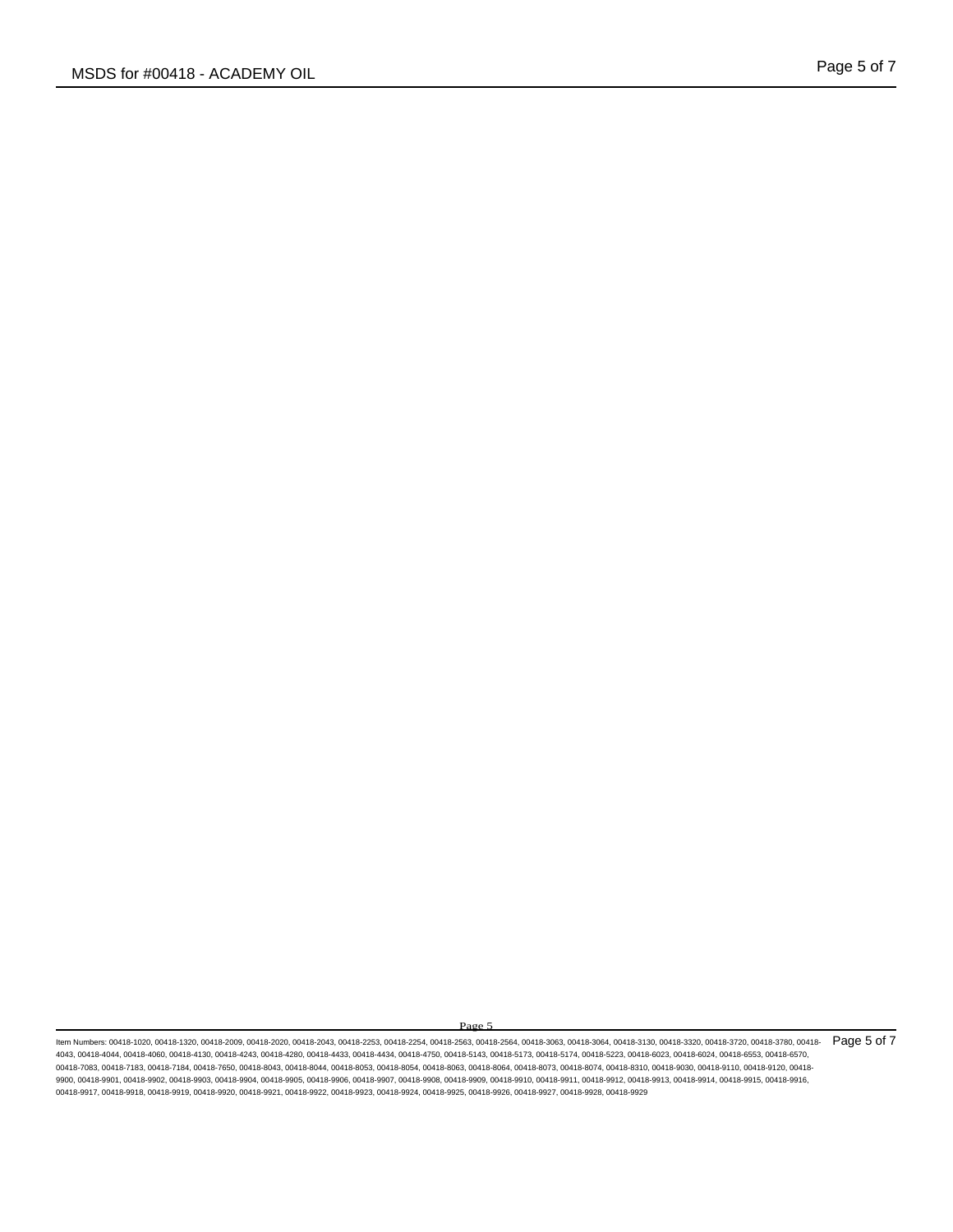Page 5

ltem Numbers: 00418-1020, 00418-1320, 00418-2009, 00418-2020, 00418-2043, 00418-2253, 00418-2554, 00418-2563, 00418-3080, 00418-3080, 00418-3130, 00418-3320, 00418-3720, 00418-3780, 00418-3780, 00418-3780, 00418-3020, 0041 4043, 00418-4044, 00418-4060, 00418-4130, 00418-4243, 00418-4280, 00418-4433, 00418-4434, 00418-4750, 00418-5143, 00418-5173, 00418-5174, 00418-5223, 00418-6023, 00418-6024, 00418-6553, 00418-6570, 00418-7083, 00418-7183, 00418-7184, 00418-7650, 00418-8043, 00418-8044, 00418-8053, 00418-8054, 00418-8063, 00418-8064, 00418-8073, 00418-8074, 00418-8310, 00418-9030, 00418-9110, 00418-9120, 00418- 9900, 00418-9901, 00418-9902, 00418-9903, 00418-9904, 00418-9905, 00418-9906, 00418-9907, 00418-9908, 00418-9909, 00418-9910, 00418-9911, 00418-9912, 00418-9913, 00418-9914, 00418-9915, 00418-9916, 00418-9917, 00418-9918, 00418-9919, 00418-9920, 00418-9921, 00418-9922, 00418-9923, 00418-9924, 00418-9925, 00418-9926, 00418-9927, 00418-9928, 00418-9929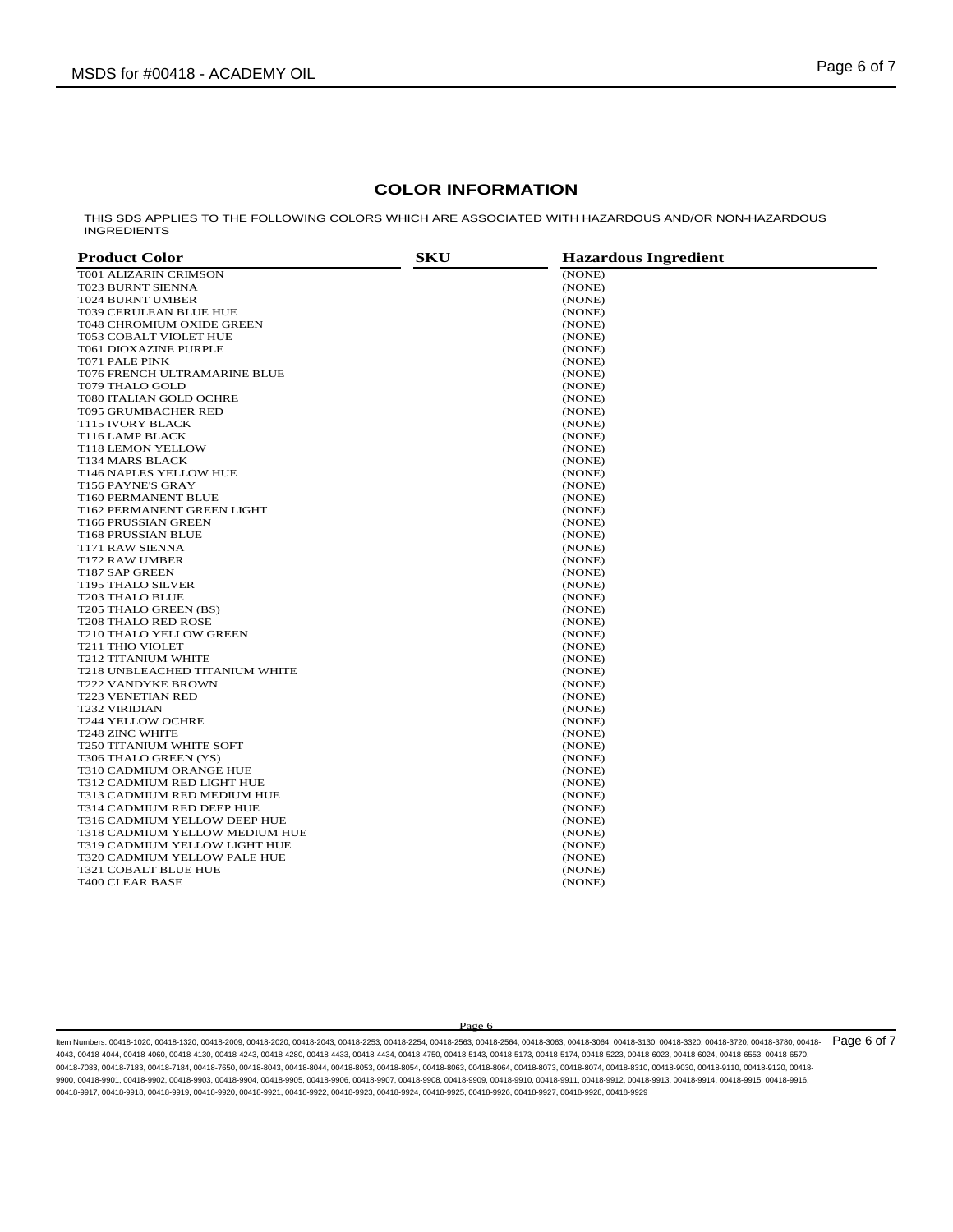#### **COLOR INFORMATION**

THIS SDS APPLIES TO THE FOLLOWING COLORS WHICH ARE ASSOCIATED WITH HAZARDOUS AND/OR NON-HAZARDOUS INGREDIENTS

| <b>Product Color</b>           | <b>SKU</b> | <b>Hazardous Ingredient</b> |  |
|--------------------------------|------------|-----------------------------|--|
| <b>T001 ALIZARIN CRIMSON</b>   |            | (NONE)                      |  |
| T023 BURNT SIENNA              |            | (NONE)                      |  |
| <b>T024 BURNT UMBER</b>        |            | (NONE)                      |  |
| T039 CERULEAN BLUE HUE         |            | (NONE)                      |  |
| T048 CHROMIUM OXIDE GREEN      |            | (NONE)                      |  |
| T053 COBALT VIOLET HUE         |            | (NONE)                      |  |
| T061 DIOXAZINE PURPLE          |            | (NONE)                      |  |
| T071 PALE PINK                 |            | (NONE)                      |  |
| T076 FRENCH ULTRAMARINE BLUE   |            | (NONE)                      |  |
| T079 THALO GOLD                |            | (NONE)                      |  |
| T080 ITALIAN GOLD OCHRE        |            | (NONE)                      |  |
| T095 GRUMBACHER RED            |            | (NONE)                      |  |
| T115 IVORY BLACK               |            | (NONE)                      |  |
| T116 LAMP BLACK                |            | (NONE)                      |  |
| T118 LEMON YELLOW              |            | (NONE)                      |  |
| T134 MARS BLACK                |            | (NONE)                      |  |
| T146 NAPLES YELLOW HUE         |            | (NONE)                      |  |
| T156 PAYNE'S GRAY              |            | (NONE)                      |  |
| T160 PERMANENT BLUE            |            | (NONE)                      |  |
| T162 PERMANENT GREEN LIGHT     |            | (NONE)                      |  |
| T166 PRUSSIAN GREEN            |            | (NONE)                      |  |
| T168 PRUSSIAN BLUE             |            | (NONE)                      |  |
| T171 RAW SIENNA                |            | (NONE)                      |  |
| T172 RAW UMBER                 |            | (NONE)                      |  |
| T187 SAP GREEN                 |            | (NONE)                      |  |
| T195 THALO SILVER              |            | (NONE)                      |  |
| T203 THALO BLUE                |            | (NONE)                      |  |
| T205 THALO GREEN (BS)          |            | (NONE)                      |  |
| T208 THALO RED ROSE            |            | (NONE)                      |  |
| T210 THALO YELLOW GREEN        |            | (NONE)                      |  |
| T211 THIO VIOLET               |            | (NONE)                      |  |
| T212 TITANIUM WHITE            |            | (NONE)                      |  |
| T218 UNBLEACHED TITANIUM WHITE |            | (NONE)                      |  |
| T222 VANDYKE BROWN             |            | (NONE)                      |  |
| T223 VENETIAN RED              |            | (NONE)                      |  |
| T232 VIRIDIAN                  |            | (NONE)                      |  |
| T244 YELLOW OCHRE              |            | (NONE)                      |  |
| T248 ZINC WHITE                |            | (NONE)                      |  |
| T250 TITANIUM WHITE SOFT       |            | (NONE)                      |  |
| T306 THALO GREEN (YS)          |            | (NONE)                      |  |
| T310 CADMIUM ORANGE HUE        |            | (NONE)                      |  |
| T312 CADMIUM RED LIGHT HUE     |            | (NONE)                      |  |
| T313 CADMIUM RED MEDIUM HUE    |            | (NONE)                      |  |
| T314 CADMIUM RED DEEP HUE      |            | (NONE)                      |  |
| T316 CADMIUM YELLOW DEEP HUE   |            | (NONE)                      |  |
| T318 CADMIUM YELLOW MEDIUM HUE |            | (NONE)                      |  |
| T319 CADMIUM YELLOW LIGHT HUE  |            | (NONE)                      |  |
| T320 CADMIUM YELLOW PALE HUE   |            | (NONE)                      |  |
| T321 COBALT BLUE HUE           |            | (NONE)                      |  |
| T400 CLEAR BASE                |            | (NONE)                      |  |
|                                |            |                             |  |

Page 6

ltem Numbers: 00418-1020, 00418-1320, 00418-2009, 00418-2020, 00418-2043, 00418-2253, 00418-2554, 00418-2563, 00418-3080, 00418-3080, 00418-3130, 00418-3320, 00418-3720, 00418-3780, 00418-3780, 00418-3780, 00418-3020, 0041 4043, 00418-4044, 00418-4060, 00418-4130, 00418-4243, 00418-4280, 00418-4433, 00418-4434, 00418-4750, 00418-5143, 00418-5173, 00418-5174, 00418-5223, 00418-6023, 00418-6024, 00418-6553, 00418-6570, 00418-7083, 00418-7183, 00418-7184, 00418-7650, 00418-8043, 00418-8044, 00418-8053, 00418-8054, 00418-8063, 00418-8064, 00418-8073, 00418-8074, 00418-8310, 00418-9030, 00418-9110, 00418-9120, 00418- 9900, 00418-9901, 00418-9902, 00418-9903, 00418-9904, 00418-9905, 00418-9906, 00418-9907, 00418-9908, 00418-9909, 00418-9910, 00418-9911, 00418-9912, 00418-9913, 00418-9914, 00418-9915, 00418-9916, 00418-9917, 00418-9918, 00418-9919, 00418-9920, 00418-9921, 00418-9922, 00418-9923, 00418-9924, 00418-9925, 00418-9926, 00418-9927, 00418-9928, 00418-9929